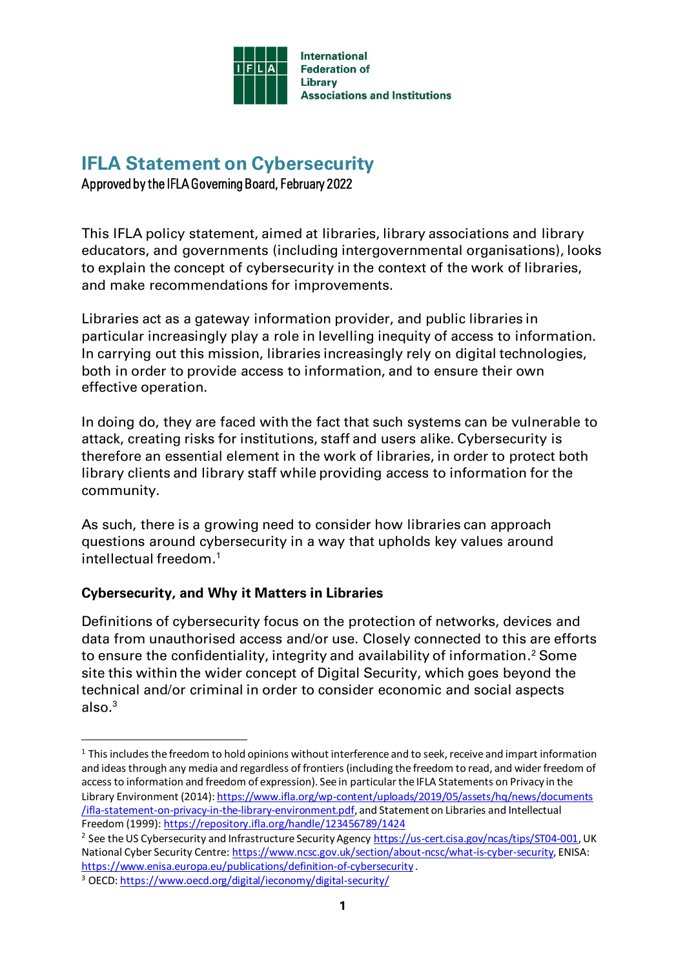

# **IFLA Statement on Cybersecurity**

Approved by the IFLA Governing Board, February 2022

This IFLA policy statement, aimed at libraries, library associations and library educators, and governments (including intergovernmental organisations), looks to explain the concept of cybersecurity in the context of the work of libraries, and make recommendations for improvements.

Libraries act as a gateway information provider, and public libraries in particular increasingly play a role in levelling inequity of access to information. In carrying out this mission, libraries increasingly rely on digital technologies, both in order to provide access to information, and to ensure their own effective operation.

In doing do, they are faced with the fact that such systems can be vulnerable to attack, creating risks for institutions, staff and users alike. Cybersecurity is therefore an essential element in the work of libraries, in order to protect both library clients and library staff while providing access to information for the community.

As such, there is a growing need to consider how libraries can approach questions around cybersecurity in a way that upholds key values around intellectual freedom. 1

### **Cybersecurity, and Why it Matters in Libraries**

Definitions of cybersecurity focus on the protection of networks, devices and data from unauthorised access and/or use. Closely connected to this are efforts to ensure the confidentiality, integrity and availability of information. <sup>2</sup> Some site this within the wider concept of Digital Security, which goes beyond the technical and/or criminal in order to consider economic and social aspects also. 3

<sup>&</sup>lt;sup>1</sup> This includes the freedom to hold opinions without interference and to seek, receive and impart information and ideas through any media and regardless of frontiers (including the freedom to read, and wider freedom of access to information and freedom of expression). See in particular the IFLA Statements on Privacy in the Library Environment (2014)[: https://www.ifla.org/wp-content/uploads/2019/05/assets/hq/news/documents](https://www.ifla.org/wp-content/uploads/2019/05/assets/hq/news/documents%20/ifla-statement-on-privacy-in-the-library-environment.pdf) [/ifla-statement-on-privacy-in-the-library-environment.pdf](https://www.ifla.org/wp-content/uploads/2019/05/assets/hq/news/documents%20/ifla-statement-on-privacy-in-the-library-environment.pdf), and Statement on Libraries and Intellectual Freedom (1999)[: https://repository.ifla.org/handle/123456789/1424](https://repository.ifla.org/handle/123456789/1424)

<sup>&</sup>lt;sup>2</sup> See the US Cybersecurity and Infrastructure Security Agenc[y https://us-cert.cisa.gov/ncas/tips/ST04-001](https://us-cert.cisa.gov/ncas/tips/ST04-001), UK National Cyber Security Centre[: https://www.ncsc.gov.uk/section/about-ncsc/what-is-cyber-security](https://www.ncsc.gov.uk/section/about-ncsc/what-is-cyber-security), ENISA: <https://www.enisa.europa.eu/publications/definition-of-cybersecurity> .

<sup>3</sup> OECD[: https://www.oecd.org/digital/ieconomy/digital-security/](https://www.oecd.org/digital/ieconomy/digital-security/)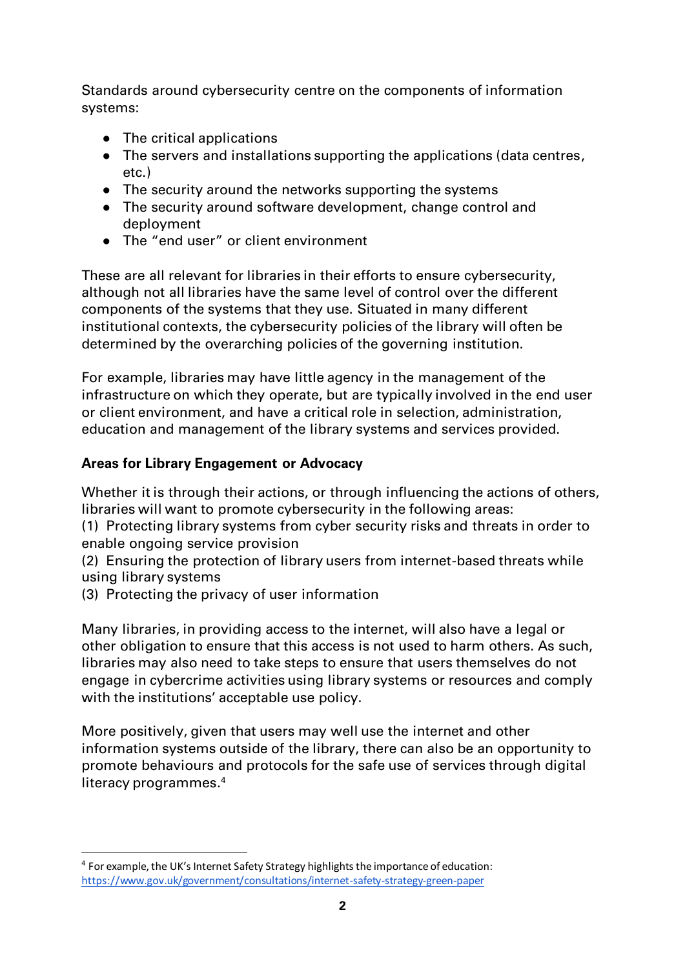Standards around cybersecurity centre on the components of information systems:

- The critical applications
- The servers and installations supporting the applications (data centres, etc.)
- The security around the networks supporting the systems
- The security around software development, change control and deployment
- The "end user" or client environment

These are all relevant for libraries in their efforts to ensure cybersecurity, although not all libraries have the same level of control over the different components of the systems that they use. Situated in many different institutional contexts, the cybersecurity policies of the library will often be determined by the overarching policies of the governing institution.

For example, libraries may have little agency in the management of the infrastructure on which they operate, but are typically involved in the end user or client environment, and have a critical role in selection, administration, education and management of the library systems and services provided.

## **Areas for Library Engagement or Advocacy**

Whether it is through their actions, or through influencing the actions of others, libraries will want to promote cybersecurity in the following areas:

(1) Protecting library systems from cyber security risks and threats in order to enable ongoing service provision

(2) Ensuring the protection of library users from internet-based threats while using library systems

(3) Protecting the privacy of user information

Many libraries, in providing access to the internet, will also have a legal or other obligation to ensure that this access is not used to harm others. As such, libraries may also need to take steps to ensure that users themselves do not engage in cybercrime activities using library systems or resources and comply with the institutions' acceptable use policy.

More positively, given that users may well use the internet and other information systems outside of the library, there can also be an opportunity to promote behaviours and protocols for the safe use of services through digital literacy programmes. 4

<sup>&</sup>lt;sup>4</sup> For example, the UK's Internet Safety Strategy highlights the importance of education: <https://www.gov.uk/government/consultations/internet-safety-strategy-green-paper>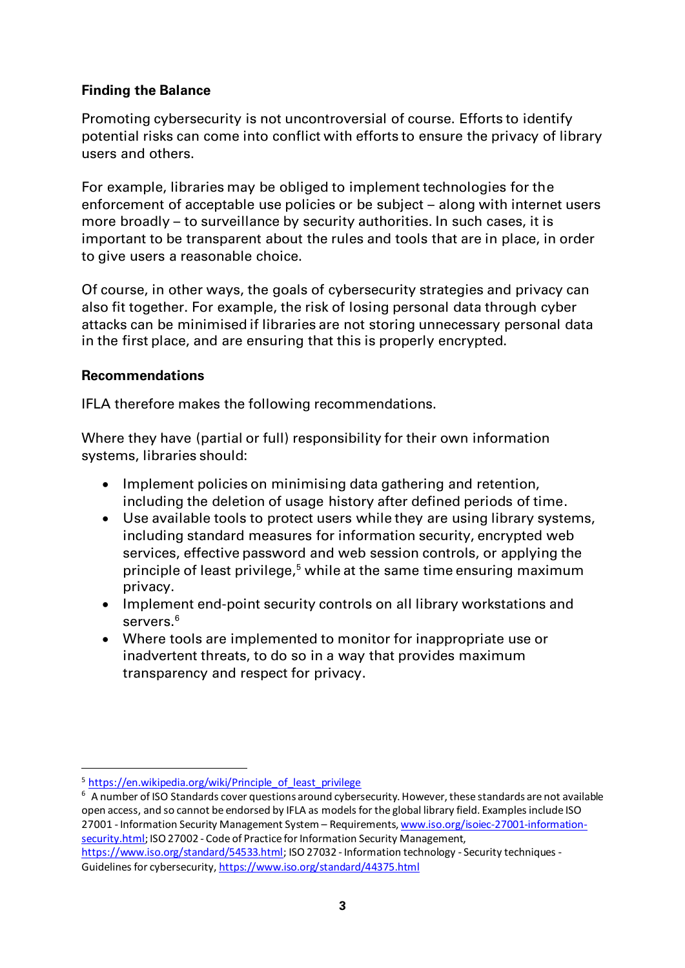#### **Finding the Balance**

Promoting cybersecurity is not uncontroversial of course. Efforts to identify potential risks can come into conflict with efforts to ensure the privacy of library users and others.

For example, libraries may be obliged to implement technologies for the enforcement of acceptable use policies or be subject – along with internet users more broadly – to surveillance by security authorities. In such cases, it is important to be transparent about the rules and tools that are in place, in order to give users a reasonable choice.

Of course, in other ways, the goals of cybersecurity strategies and privacy can also fit together. For example, the risk of losing personal data through cyber attacks can be minimised if libraries are not storing unnecessary personal data in the first place, and are ensuring that this is properly encrypted.

#### **Recommendations**

IFLA therefore makes the following recommendations.

Where they have (partial or full) responsibility for their own information systems, libraries should:

- Implement policies on minimising data gathering and retention, including the deletion of usage history after defined periods of time.
- Use available tools to protect users while they are using library systems, including standard measures for information security, encrypted web services, effective password and web session controls, or applying the principle of least privilege, <sup>5</sup> while at the same time ensuring maximum privacy.
- Implement end-point security controls on all library workstations and servers. 6
- Where tools are implemented to monitor for inappropriate use or inadvertent threats, to do so in a way that provides maximum transparency and respect for privacy.

Guidelines for cybersecurity[, https://www.iso.org/standard/44375.html](https://www.iso.org/standard/44375.html)

<sup>&</sup>lt;sup>5</sup> [https://en.wikipedia.org/wiki/Principle\\_of\\_least\\_privilege](https://en.wikipedia.org/wiki/Principle_of_least_privilege)

<sup>6</sup> A number of ISO Standards cover questions around cybersecurity. However, these standards are not available open access, and so cannot be endorsed by IFLA as models for the global library field. Examples include ISO 27001 - Information Security Management System – Requirements[, www.iso.org/isoiec-27001-information](http://www.iso.org/isoiec-27001-information-security.html)[security.html;](http://www.iso.org/isoiec-27001-information-security.html) ISO 27002 - Code of Practice for Information Security Management, [https://www.iso.org/standard/54533.html;](https://www.iso.org/standard/54533.html) ISO 27032 - Information technology - Security techniques -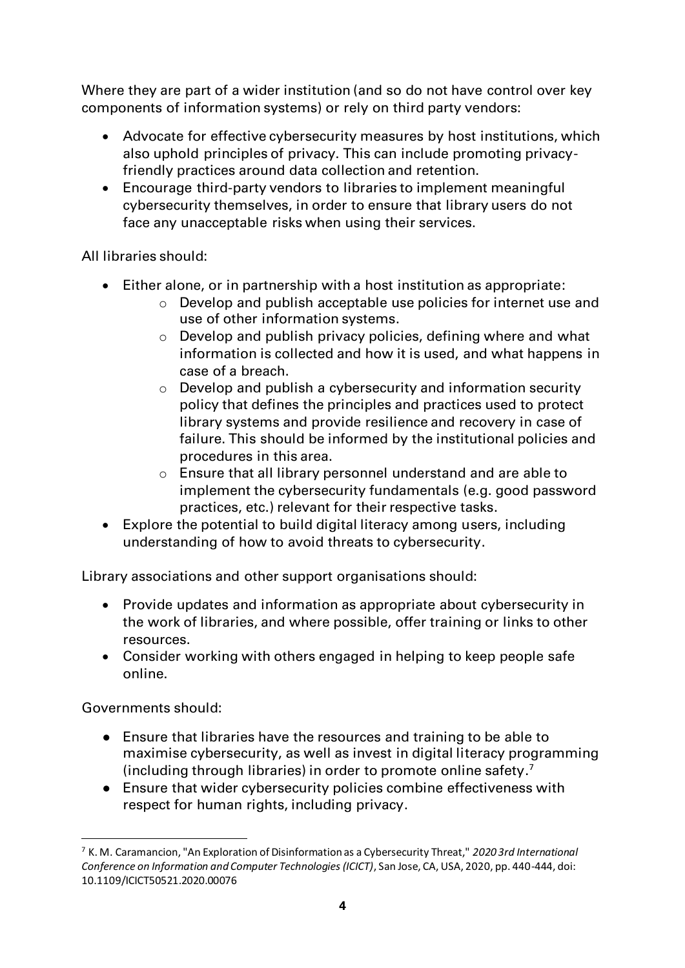Where they are part of a wider institution (and so do not have control over key components of information systems) or rely on third party vendors:

- Advocate for effective cybersecurity measures by host institutions, which also uphold principles of privacy. This can include promoting privacyfriendly practices around data collection and retention.
- Encourage third-party vendors to libraries to implement meaningful cybersecurity themselves, in order to ensure that library users do not face any unacceptable risks when using their services.

All libraries should:

- Either alone, or in partnership with a host institution as appropriate:
	- $\circ$  Develop and publish acceptable use policies for internet use and use of other information systems.
	- o Develop and publish privacy policies, defining where and what information is collected and how it is used, and what happens in case of a breach.
	- o Develop and publish a cybersecurity and information security policy that defines the principles and practices used to protect library systems and provide resilience and recovery in case of failure. This should be informed by the institutional policies and procedures in this area.
	- o Ensure that all library personnel understand and are able to implement the cybersecurity fundamentals (e.g. good password practices, etc.) relevant for their respective tasks.
- Explore the potential to build digital literacy among users, including understanding of how to avoid threats to cybersecurity.

Library associations and other support organisations should:

- Provide updates and information as appropriate about cybersecurity in the work of libraries, and where possible, offer training or links to other resources.
- Consider working with others engaged in helping to keep people safe online.

Governments should:

- Ensure that libraries have the resources and training to be able to maximise cybersecurity, as well as invest in digital literacy programming (including through libraries) in order to promote online safety. 7
- Ensure that wider cybersecurity policies combine effectiveness with respect for human rights, including privacy.

<sup>7</sup> K. M. Caramancion, "An Exploration of Disinformation as a Cybersecurity Threat," *2020 3rd International Conference on Information and Computer Technologies (ICICT)*, San Jose, CA, USA, 2020, pp. 440-444, doi: 10.1109/ICICT50521.2020.00076